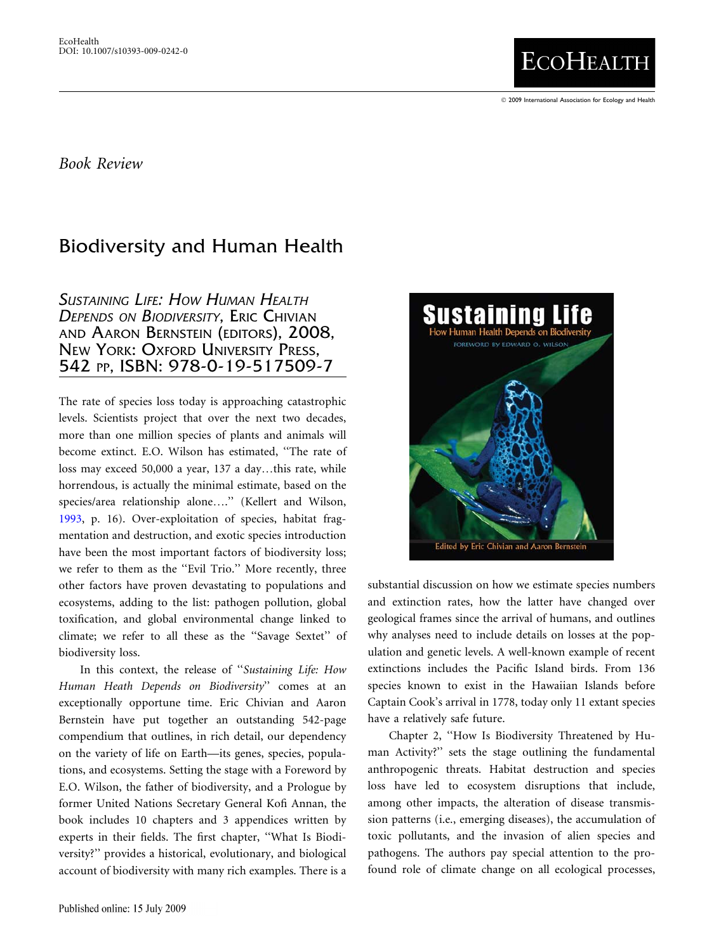2009 International Association for Ecology and Health

**ECOHEALTH** 

## Book Review

## Biodiversity and Human Health

SUSTAINING LIFE: HOW HUMAN HEALTH DEPENDS ON BIODIVERSITY, ERIC CHIVIAN and Aaron Bernstein (editors), 2008,<br>New York: Oxford University Press, 542 PP, ISBN: 978-0-19-517509-7

The rate of species loss today is approaching catastrophic levels. Scientists project that over the next two decades, more than one million species of plants and animals will become extinct. E.O. Wilson has estimated, ''The rate of loss may exceed 50,000 a year, 137 a day…this rate, while horrendous, is actually the minimal estimate, based on the species/area relationship alone….'' (Kellert and Wilson, [1993](#page-3-0), p. 16). Over-exploitation of species, habitat fragmentation and destruction, and exotic species introduction have been the most important factors of biodiversity loss; we refer to them as the ''Evil Trio.'' More recently, three other factors have proven devastating to populations and ecosystems, adding to the list: pathogen pollution, global toxification, and global environmental change linked to climate; we refer to all these as the ''Savage Sextet'' of biodiversity loss.

In this context, the release of ''Sustaining Life: How Human Heath Depends on Biodiversity'' comes at an exceptionally opportune time. Eric Chivian and Aaron Bernstein have put together an outstanding 542-page compendium that outlines, in rich detail, our dependency on the variety of life on Earth—its genes, species, populations, and ecosystems. Setting the stage with a Foreword by E.O. Wilson, the father of biodiversity, and a Prologue by former United Nations Secretary General Kofi Annan, the book includes 10 chapters and 3 appendices written by experts in their fields. The first chapter, ''What Is Biodiversity?'' provides a historical, evolutionary, and biological account of biodiversity with many rich examples. There is a



substantial discussion on how we estimate species numbers and extinction rates, how the latter have changed over geological frames since the arrival of humans, and outlines why analyses need to include details on losses at the population and genetic levels. A well-known example of recent extinctions includes the Pacific Island birds. From 136 species known to exist in the Hawaiian Islands before Captain Cook's arrival in 1778, today only 11 extant species have a relatively safe future.

Chapter 2, ''How Is Biodiversity Threatened by Human Activity?'' sets the stage outlining the fundamental anthropogenic threats. Habitat destruction and species loss have led to ecosystem disruptions that include, among other impacts, the alteration of disease transmission patterns (i.e., emerging diseases), the accumulation of toxic pollutants, and the invasion of alien species and pathogens. The authors pay special attention to the profound role of climate change on all ecological processes,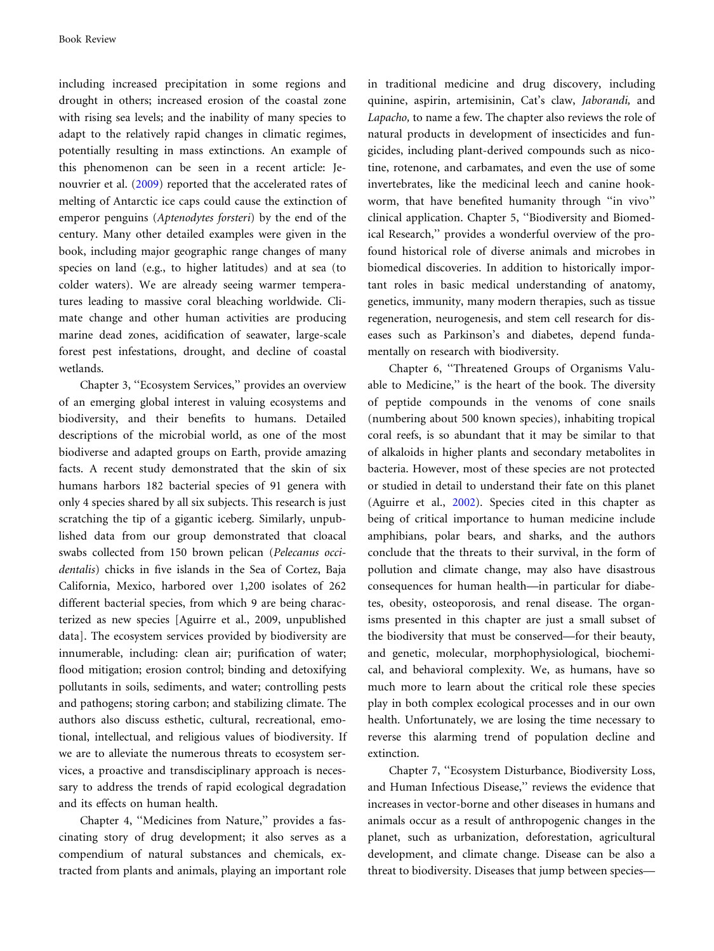including increased precipitation in some regions and drought in others; increased erosion of the coastal zone with rising sea levels; and the inability of many species to adapt to the relatively rapid changes in climatic regimes, potentially resulting in mass extinctions. An example of this phenomenon can be seen in a recent article: Jenouvrier et al. ([2009](#page-3-0)) reported that the accelerated rates of melting of Antarctic ice caps could cause the extinction of emperor penguins (Aptenodytes forsteri) by the end of the century. Many other detailed examples were given in the book, including major geographic range changes of many species on land (e.g., to higher latitudes) and at sea (to colder waters). We are already seeing warmer temperatures leading to massive coral bleaching worldwide. Climate change and other human activities are producing marine dead zones, acidification of seawater, large-scale forest pest infestations, drought, and decline of coastal wetlands.

Chapter 3, ''Ecosystem Services,'' provides an overview of an emerging global interest in valuing ecosystems and biodiversity, and their benefits to humans. Detailed descriptions of the microbial world, as one of the most biodiverse and adapted groups on Earth, provide amazing facts. A recent study demonstrated that the skin of six humans harbors 182 bacterial species of 91 genera with only 4 species shared by all six subjects. This research is just scratching the tip of a gigantic iceberg. Similarly, unpublished data from our group demonstrated that cloacal swabs collected from 150 brown pelican (Pelecanus occidentalis) chicks in five islands in the Sea of Cortez, Baja California, Mexico, harbored over 1,200 isolates of 262 different bacterial species, from which 9 are being characterized as new species [Aguirre et al., 2009, unpublished data]. The ecosystem services provided by biodiversity are innumerable, including: clean air; purification of water; flood mitigation; erosion control; binding and detoxifying pollutants in soils, sediments, and water; controlling pests and pathogens; storing carbon; and stabilizing climate. The authors also discuss esthetic, cultural, recreational, emotional, intellectual, and religious values of biodiversity. If we are to alleviate the numerous threats to ecosystem services, a proactive and transdisciplinary approach is necessary to address the trends of rapid ecological degradation and its effects on human health.

Chapter 4, ''Medicines from Nature,'' provides a fascinating story of drug development; it also serves as a compendium of natural substances and chemicals, extracted from plants and animals, playing an important role

in traditional medicine and drug discovery, including quinine, aspirin, artemisinin, Cat's claw, Jaborandi, and Lapacho, to name a few. The chapter also reviews the role of natural products in development of insecticides and fungicides, including plant-derived compounds such as nicotine, rotenone, and carbamates, and even the use of some invertebrates, like the medicinal leech and canine hookworm, that have benefited humanity through ''in vivo'' clinical application. Chapter 5, ''Biodiversity and Biomedical Research,'' provides a wonderful overview of the profound historical role of diverse animals and microbes in biomedical discoveries. In addition to historically important roles in basic medical understanding of anatomy, genetics, immunity, many modern therapies, such as tissue regeneration, neurogenesis, and stem cell research for diseases such as Parkinson's and diabetes, depend fundamentally on research with biodiversity.

Chapter 6, ''Threatened Groups of Organisms Valuable to Medicine,'' is the heart of the book. The diversity of peptide compounds in the venoms of cone snails (numbering about 500 known species), inhabiting tropical coral reefs, is so abundant that it may be similar to that of alkaloids in higher plants and secondary metabolites in bacteria. However, most of these species are not protected or studied in detail to understand their fate on this planet (Aguirre et al., [2002\)](#page-3-0). Species cited in this chapter as being of critical importance to human medicine include amphibians, polar bears, and sharks, and the authors conclude that the threats to their survival, in the form of pollution and climate change, may also have disastrous consequences for human health—in particular for diabetes, obesity, osteoporosis, and renal disease. The organisms presented in this chapter are just a small subset of the biodiversity that must be conserved—for their beauty, and genetic, molecular, morphophysiological, biochemical, and behavioral complexity. We, as humans, have so much more to learn about the critical role these species play in both complex ecological processes and in our own health. Unfortunately, we are losing the time necessary to reverse this alarming trend of population decline and extinction.

Chapter 7, ''Ecosystem Disturbance, Biodiversity Loss, and Human Infectious Disease,'' reviews the evidence that increases in vector-borne and other diseases in humans and animals occur as a result of anthropogenic changes in the planet, such as urbanization, deforestation, agricultural development, and climate change. Disease can be also a threat to biodiversity. Diseases that jump between species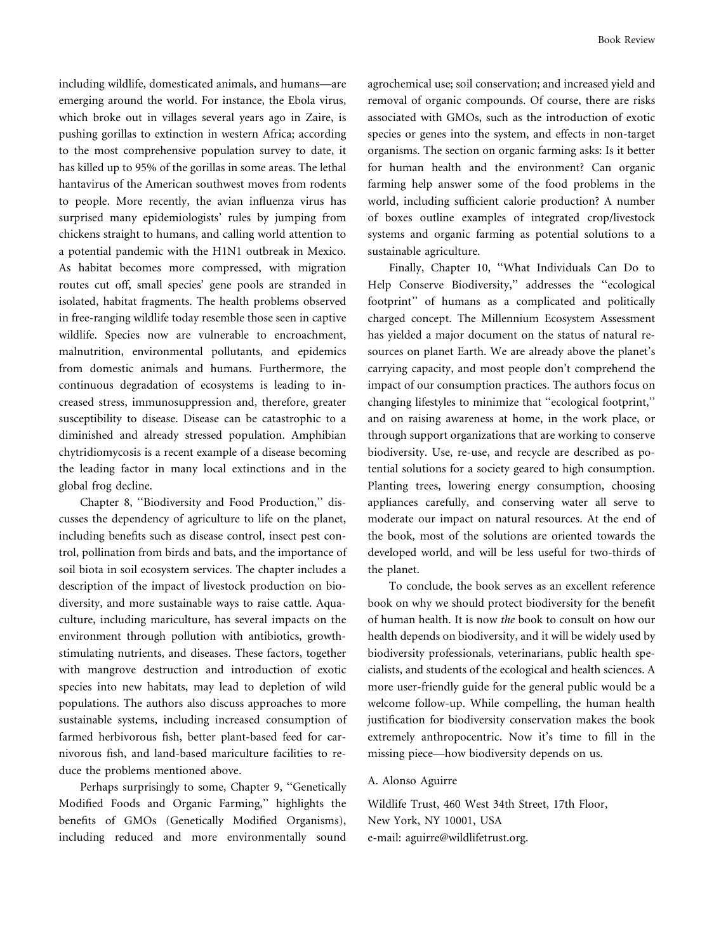including wildlife, domesticated animals, and humans—are emerging around the world. For instance, the Ebola virus, which broke out in villages several years ago in Zaire, is pushing gorillas to extinction in western Africa; according to the most comprehensive population survey to date, it has killed up to 95% of the gorillas in some areas. The lethal hantavirus of the American southwest moves from rodents to people. More recently, the avian influenza virus has surprised many epidemiologists' rules by jumping from chickens straight to humans, and calling world attention to a potential pandemic with the H1N1 outbreak in Mexico. As habitat becomes more compressed, with migration routes cut off, small species' gene pools are stranded in isolated, habitat fragments. The health problems observed in free-ranging wildlife today resemble those seen in captive wildlife. Species now are vulnerable to encroachment, malnutrition, environmental pollutants, and epidemics from domestic animals and humans. Furthermore, the continuous degradation of ecosystems is leading to increased stress, immunosuppression and, therefore, greater susceptibility to disease. Disease can be catastrophic to a diminished and already stressed population. Amphibian chytridiomycosis is a recent example of a disease becoming the leading factor in many local extinctions and in the global frog decline.

Chapter 8, ''Biodiversity and Food Production,'' discusses the dependency of agriculture to life on the planet, including benefits such as disease control, insect pest control, pollination from birds and bats, and the importance of soil biota in soil ecosystem services. The chapter includes a description of the impact of livestock production on biodiversity, and more sustainable ways to raise cattle. Aquaculture, including mariculture, has several impacts on the environment through pollution with antibiotics, growthstimulating nutrients, and diseases. These factors, together with mangrove destruction and introduction of exotic species into new habitats, may lead to depletion of wild populations. The authors also discuss approaches to more sustainable systems, including increased consumption of farmed herbivorous fish, better plant-based feed for carnivorous fish, and land-based mariculture facilities to reduce the problems mentioned above.

Perhaps surprisingly to some, Chapter 9, ''Genetically Modified Foods and Organic Farming,'' highlights the benefits of GMOs (Genetically Modified Organisms), including reduced and more environmentally sound

agrochemical use; soil conservation; and increased yield and removal of organic compounds. Of course, there are risks associated with GMOs, such as the introduction of exotic species or genes into the system, and effects in non-target organisms. The section on organic farming asks: Is it better for human health and the environment? Can organic farming help answer some of the food problems in the world, including sufficient calorie production? A number of boxes outline examples of integrated crop/livestock systems and organic farming as potential solutions to a sustainable agriculture.

Finally, Chapter 10, ''What Individuals Can Do to Help Conserve Biodiversity,'' addresses the ''ecological footprint'' of humans as a complicated and politically charged concept. The Millennium Ecosystem Assessment has yielded a major document on the status of natural resources on planet Earth. We are already above the planet's carrying capacity, and most people don't comprehend the impact of our consumption practices. The authors focus on changing lifestyles to minimize that ''ecological footprint,'' and on raising awareness at home, in the work place, or through support organizations that are working to conserve biodiversity. Use, re-use, and recycle are described as potential solutions for a society geared to high consumption. Planting trees, lowering energy consumption, choosing appliances carefully, and conserving water all serve to moderate our impact on natural resources. At the end of the book, most of the solutions are oriented towards the developed world, and will be less useful for two-thirds of the planet.

To conclude, the book serves as an excellent reference book on why we should protect biodiversity for the benefit of human health. It is now the book to consult on how our health depends on biodiversity, and it will be widely used by biodiversity professionals, veterinarians, public health specialists, and students of the ecological and health sciences. A more user-friendly guide for the general public would be a welcome follow-up. While compelling, the human health justification for biodiversity conservation makes the book extremely anthropocentric. Now it's time to fill in the missing piece—how biodiversity depends on us.

## A. Alonso Aguirre

Wildlife Trust, 460 West 34th Street, 17th Floor, New York, NY 10001, USA e-mail: aguirre@wildlifetrust.org.